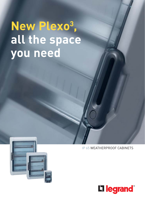# **New Plexo3 , all the space you need**



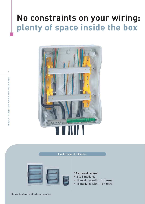## **No constraints on your wiring: plenty of space inside the box**



#### **A wide range of cabinets…**



#### **11 sizes of cabinet**

- 2 to 8 modules
- 12 modules with 1 to 3 rows
- 18 modules with 1 to 4 rows

2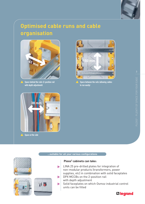

## **Optimised cable runs and cable organisation**



 $\triangle$  Space behind the rails (2-position rail with depth adjustment)



Space between the rails (allowing cables to run easily)



Space at the side

#### **…suitable for all your various configurations**

 $\blacktriangleright$ 

 $\blacktriangleright$ 

 $\blacktriangleright$ 







#### **Plexo3 cabinets can take:**

- LINA 25 pre-drilled plates for integration of non-modular products (transformers, power supplies, etc) in combination with solid faceplates DPX MCCBs on the 2-position rail
- with depth adjustment
- Solid faceplates on which Osmoz industrial control units can be fitted

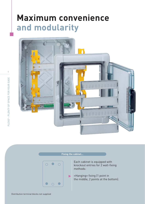## **Maximum convenience and modularity**



4

#### **Fixing the cabinet…**



Each cabinet is equipped with knockout entries for 2 wall-fixing methods:

«Hanging» fixing (1 point in the middle, 2 points at the bottom).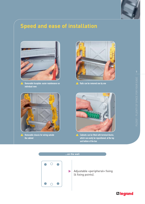

## **Speed and ease of installation**



Removable faceplate: easier maintenance on individual rows



Rails can be removed one by one



Removable chassis for wiring outside the cabinet



Cabinets can be fitted with terminal blocks, which can easily be repositioned, at the top and bottom of the box



**…on the wall**

Adjustable «peripheral» fixing (4 fixing points).

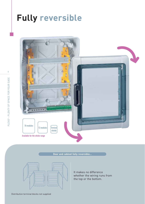## **Fully reversible**



**Door and cabinet fully reversible…**

It makes no difference whether the wiring runs from the top or the bottom.

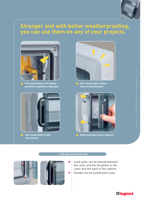

### **Stronger and with better weatherproofing, you can use them on any of your projects**



IP 65: weatherproofing and UV treatment guaranteed for applications in damp places



Flush-mounted handle for better shock protection



IK 09: Enhanced impact resistance (shock-resistant polystyrene)



Double closing point to ensure a good seal

#### **…with guaranteed security**

 $\blacktriangleright$ 





- Lead seals can be placed between the cover and the faceplate or the cover and the back of the cabinet.
- $\blacktriangleright$ Handle can be locked with a key.

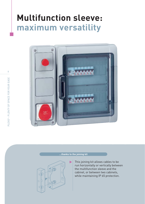## **Multifunction sleeve: maximum versatility**



#### **…thanks to the joining kit**



This joining kit allows cables to be run horizontally or vertically between the multifunction sleeve and the cabinet, or between two cabinets, while maintaining IP 65 protection.

8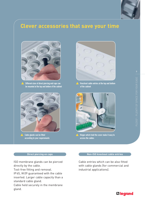

### **Clever accessories that save your time**



Different sizes of direct piercing end caps can be mounted at the top and bottom of the cabinet



Cable glands can be fitted according to your requirements



Knockout cable entries at the top and bottom of the cabinet



Hinges which hold the cover make it easy to access the cables

#### **Direct piercing en caps**

ISO membrane glands can be pierced directly by the cable.

Tool-free fitting and removal.

IP 65, IK 09 guaranteed with the cable inserted. Larger cable capacity than a standard cable gland.

Cable held securely in the membrane gland.

#### **Non-ISO knockout cable entries**

Cable entries which can be also fitted with cable glands (for commercial and industrial applications).

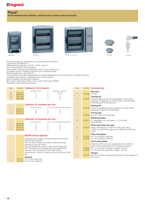### L'I legrand

#### **Plexo3**

**IP 65 weatherproof cabinets, multifunction sleeves and accessories**



6019 94



6018 32



6018 32 + 019 17 019 55 019 66





Self-extinguishing: resistance to incandescent wire 650°C Conform to EN 60439-3

Weatherproof cabinets - IP 65 - IK 09 - Class II

Door and cabinet fully reversible

Removable chassis and faceplates from 2-row versions up 2-position rail for modular products and moulded cases

Spacing between rails 150 mm Can be fitted with perforated plates and solid faceplates for mounting non-modular products

Lockable door handle, sealable cover and faceplate

Shock-resistant polystyrene material Box colour light grey L750A, cover colour dark grey R746A Supplied without terminal blocks

| Pack                               | Cat.Nos                              | Cabinets 2 to 8 module |                               |  |  |  |  |
|------------------------------------|--------------------------------------|------------------------|-------------------------------|--|--|--|--|
| 6<br>6<br>6<br>6                   | 601932<br>601994<br>601996<br>601998 | Number of rows         | Number of modules<br>$2 (+1)$ |  |  |  |  |
| <b>Cabinets 12 modules per row</b> |                                      |                        |                               |  |  |  |  |

|        | ________       |                                 |
|--------|----------------|---------------------------------|
|        | Number of rows | No. of 5-module blanking plates |
| 601831 |                |                                 |
| 601832 |                |                                 |
| 601833 |                |                                 |
|        |                |                                 |

| <b>Cabinets 18 modules per row</b> |  |  |  |  |  |  |
|------------------------------------|--|--|--|--|--|--|
|------------------------------------|--|--|--|--|--|--|

|         | Number of rows | No. of 5-module blanking plates |
|---------|----------------|---------------------------------|
| 6018 35 |                |                                 |
| 601836  |                |                                 |
| 6018 37 |                |                                 |
| 601838  |                |                                 |
|         |                |                                 |

|  | <b>Multifunction sleeves</b>                                                                                                                                                                                                                                                                                                                                            |
|--|-------------------------------------------------------------------------------------------------------------------------------------------------------------------------------------------------------------------------------------------------------------------------------------------------------------------------------------------------------------------------|
|  | Supplied with hinges connecting the cover to the<br>back of the cabinet<br>For use with 12 and 18-module cabinets using<br>joining kit Cat. No 019 67<br>Can be fitted with control units and accessories:<br>P17 16 A and 32 A sockets with standard fixing<br>centres, flush-mounted IP 55 Plexo wiring<br>accessories, Osmoz, modular rail at the back of the<br>box |
|  | <b>Vertical</b><br>019 17 For 2 rows cabinets                                                                                                                                                                                                                                                                                                                           |

1 019 18 For 3 rows cabinets

| Pack                             | Cat.Nos        | <b>Accessories</b>                                                                                                                                                                                              |
|----------------------------------|----------------|-----------------------------------------------------------------------------------------------------------------------------------------------------------------------------------------------------------------|
| $\mathbf{1}$                     | 01966          | <b>Key lock</b><br>$N^{\circ}$ 850                                                                                                                                                                              |
| $\overline{2}$                   | 01967          | Joining kit<br>Allows cables to be run horizontaly or vertically<br>between 2 cabinets or multifunction sleeves while<br>maintaining IP 65 protection                                                           |
| $\mathbf{1}$                     | 01968          | <b>Sealing kit</b><br>Set of 2 sealable terminal shields for cover and 8<br>sealable supports for faceplate                                                                                                     |
| 1                                | 01969          | <b>Fixing lugs</b><br>Set of 4 wall mounting lugs                                                                                                                                                               |
| 20                               | 019 61         | <b>Blanking plates</b><br>5, separable into modules or 1/2 module<br>Grey R746A                                                                                                                                 |
| $\mathbf{1}$                     | 019 55         | Direct piercing end caps<br>Pack consisting of 2 Ø32 mm ISO end caps,<br>5 Ø25 mm ISO end caps and 10 Ø20 mm ISO end<br>caps                                                                                    |
| $\overline{c}$<br>$\overline{a}$ | 019 65         | <b>Plain faceplates</b><br>019 64 For 12 modules cabinets<br>For 18 modules cabinets                                                                                                                            |
| 1<br>$\overline{1}$              | 01962<br>01963 | <b>Perforated plates</b><br>Allow the DIN rail to be replaced with a LINA 25<br>plate when integrating non-modular products<br>For 12 modules cabinets, Height 150 mm<br>For 18 modules cabinets, Height 150 mm |
| $\overline{2}$                   | 01970          | <b>Hinges</b><br>Set of 2 hinges connecting the back of the cabinet to<br>the cover                                                                                                                             |
|                                  |                |                                                                                                                                                                                                                 |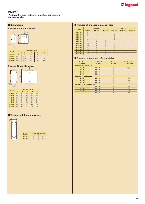#### **Plexo3**

**IP 65 weatherproof cabinets, multifunction sleeves and accessories**





| Cat.No  | Dimensions (mm) |     |     |     |     |  |  |
|---------|-----------------|-----|-----|-----|-----|--|--|
|         | A               | в   | c   | D   | Е   |  |  |
| 601932  | 109             | 93  | 174 | 94  |     |  |  |
| 601994  | 115.6           | 128 | 200 | 120 |     |  |  |
| 6019 96 | 115.6           | 164 | 200 | 120 | 70  |  |  |
| 601998  | 115.6           | 200 | 200 | 120 | 106 |  |  |

#### **Cabinets 12 and 18 modules**



| Cat.No  | <b>Dimensions (mm)</b> |     |     |     |     |  |
|---------|------------------------|-----|-----|-----|-----|--|
|         | A                      | B   | c   | D   | Е   |  |
| 601831  | 141                    | 340 | 282 | 180 | 180 |  |
| 601832  | 161                    | 340 | 432 | 330 | 180 |  |
| 601833  | 161                    | 340 | 622 | 480 | 180 |  |
| 6018 35 | 141                    | 448 | 282 | 180 | 288 |  |
| 601836  | 161                    | 448 | 432 | 330 | 290 |  |
| 601837  | 161                    | 448 | 622 | 480 | 290 |  |
| 601838  | 161                    | 448 | 822 | 680 | 290 |  |

#### ■ **Vertical multifunction sleeves**



| Cat.No | А   | Dimensions (mm)<br>R |
|--------|-----|----------------------|
| 019 19 | 137 | 432                  |
| 019 20 | 137 | 622                  |

#### ■ **Dimensions** ■ **Number of knockouts on each side**

| Cat.No  | <b>Top/bottom</b> |                          |                          | Left/right                   |                              |                              |
|---------|-------------------|--------------------------|--------------------------|------------------------------|------------------------------|------------------------------|
|         | Ø20 mm            | Ø25 mm                   | Ø32 mm                   | Ø20 mm                       | Ø25 mm                       | Ø32 mm                       |
| 601932  | 2                 |                          |                          |                              |                              |                              |
| 601994  | $\mathfrak{D}$    |                          | $\overline{\phantom{a}}$ | $\overline{\phantom{0}}$     | $\overline{\phantom{a}}$     | $\overline{\phantom{a}}$     |
| 6019 96 | $\overline{4}$    |                          | $\overline{a}$           | $\overline{2}$               | $\overline{\phantom{a}}$     | $\qquad \qquad$              |
| 601998  | 6                 |                          |                          | $\overline{\phantom{0}}$     | $\qquad \qquad \blacksquare$ | $\qquad \qquad \blacksquare$ |
| 601831  | $\overline{7}$    | $\overline{\phantom{0}}$ | $\overline{2}$           | $\qquad \qquad \blacksquare$ | $\qquad \qquad$              | $\overline{2}$               |
| 601832  | 13                | $\overline{\phantom{0}}$ | $\mathfrak{D}$           | $\overline{\phantom{a}}$     | $\qquad \qquad$              | 3                            |
| 601833  | 13                | $\overline{\phantom{0}}$ | $\mathfrak{D}$           | $\overline{\phantom{a}}$     | $\overline{\phantom{a}}$     | $\overline{4}$               |
| 6018 35 | 12                | $\overline{\phantom{0}}$ | 3                        | $\qquad \qquad =$            | $\qquad \qquad =$            | $\mathfrak{p}$               |
| 6018 36 | 13                | $\overline{4}$           | 3                        | $\qquad \qquad =$            | $\qquad \qquad$              | 3                            |
| 601837  | 13                | $\overline{4}$           | 3                        | $\overline{\phantom{a}}$     | $\qquad \qquad$              | $\overline{4}$               |
| 601838  | 13                | 4                        | 3                        | $\overline{\phantom{a}}$     |                              | 5                            |

#### ■ Old/new range cross reference table

| <b>Old Plexo</b><br><b>Cat.Nos</b> | New Plexo <sup>3</sup><br><b>Cat.Nos</b> | <b>Number</b><br>of rows | <b>Total number</b><br>of modules |  |  |  |  |
|------------------------------------|------------------------------------------|--------------------------|-----------------------------------|--|--|--|--|
|                                    | <b>Cabinets 2 to 8 modules</b>           |                          |                                   |  |  |  |  |
| 01732                              | 601932                                   | $\overline{1}$           | $2 (+1)$                          |  |  |  |  |
| 01734                              | 601994                                   |                          | $\overline{4}$                    |  |  |  |  |
| 01736                              | 601996                                   |                          | 6                                 |  |  |  |  |
| 01738                              | 601998                                   | 1                        | $\overline{8}$                    |  |  |  |  |
|                                    | <b>Cabinets 12 modules per row</b>       |                          |                                   |  |  |  |  |
| 01741                              | 601831                                   | $\overline{1}$           | 12                                |  |  |  |  |
| 01742                              | 601832                                   | $\mathfrak{p}$           | 24                                |  |  |  |  |
| 01743                              | 601833                                   | 3                        | 36                                |  |  |  |  |
| <b>Cabinets 18 modules per row</b> |                                          |                          |                                   |  |  |  |  |
| $\blacksquare$                     | 6018 35                                  | 1                        | 18                                |  |  |  |  |
| 017 45                             | 601836                                   | $\mathfrak{p}$           | 36                                |  |  |  |  |
| 01746                              | 601837                                   | 3                        | 54                                |  |  |  |  |
|                                    | 601838                                   | $\overline{A}$           | 72                                |  |  |  |  |